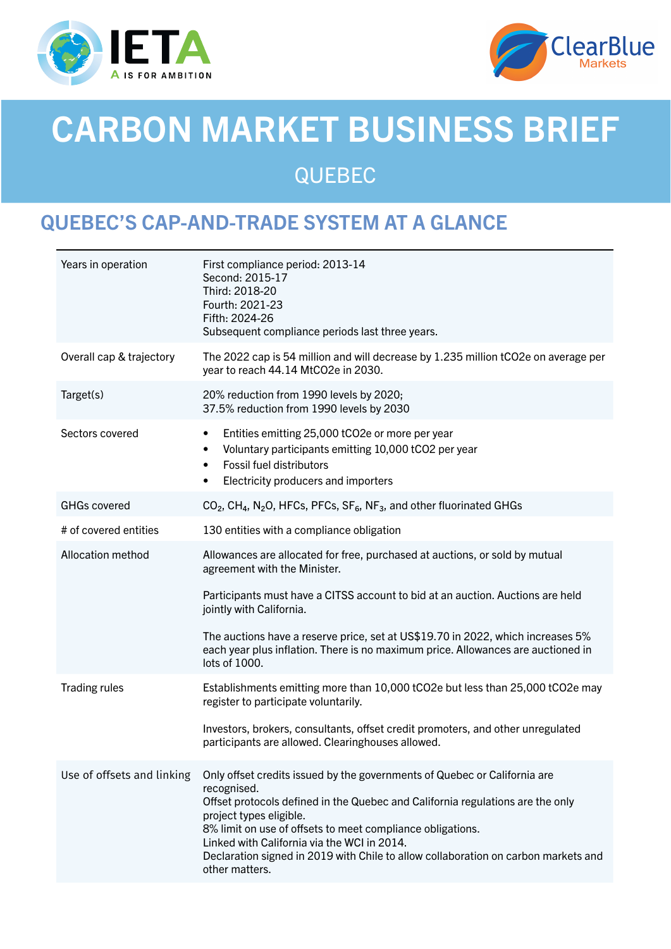



# CARBON MARKET BUSINESS BRIEF QUEBEC

# QUEBEC'S CAP-AND-TRADE SYSTEM AT A GLANCE

| Years in operation         | First compliance period: 2013-14<br>Second: 2015-17<br>Third: 2018-20<br>Fourth: 2021-23<br>Fifth: 2024-26<br>Subsequent compliance periods last three years.                                                                                                                                                                                                                                                              |
|----------------------------|----------------------------------------------------------------------------------------------------------------------------------------------------------------------------------------------------------------------------------------------------------------------------------------------------------------------------------------------------------------------------------------------------------------------------|
| Overall cap & trajectory   | The 2022 cap is 54 million and will decrease by 1.235 million tCO2e on average per<br>year to reach 44.14 MtCO2e in 2030.                                                                                                                                                                                                                                                                                                  |
| Target(s)                  | 20% reduction from 1990 levels by 2020;<br>37.5% reduction from 1990 levels by 2030                                                                                                                                                                                                                                                                                                                                        |
| Sectors covered            | Entities emitting 25,000 tCO2e or more per year<br>$\bullet$<br>Voluntary participants emitting 10,000 tCO2 per year<br><b>Fossil fuel distributors</b><br>$\bullet$<br>Electricity producers and importers<br>$\bullet$                                                                                                                                                                                                   |
| <b>GHGs covered</b>        | CO <sub>2</sub> , CH <sub>4</sub> , N <sub>2</sub> O, HFCs, PFCs, SF <sub>6</sub> , NF <sub>3</sub> , and other fluorinated GHGs                                                                                                                                                                                                                                                                                           |
| # of covered entities      | 130 entities with a compliance obligation                                                                                                                                                                                                                                                                                                                                                                                  |
| Allocation method          | Allowances are allocated for free, purchased at auctions, or sold by mutual<br>agreement with the Minister.                                                                                                                                                                                                                                                                                                                |
|                            | Participants must have a CITSS account to bid at an auction. Auctions are held<br>jointly with California.                                                                                                                                                                                                                                                                                                                 |
|                            | The auctions have a reserve price, set at US\$19.70 in 2022, which increases 5%<br>each year plus inflation. There is no maximum price. Allowances are auctioned in<br>lots of 1000.                                                                                                                                                                                                                                       |
| <b>Trading rules</b>       | Establishments emitting more than 10,000 tCO2e but less than 25,000 tCO2e may<br>register to participate voluntarily.                                                                                                                                                                                                                                                                                                      |
|                            | Investors, brokers, consultants, offset credit promoters, and other unregulated<br>participants are allowed. Clearinghouses allowed.                                                                                                                                                                                                                                                                                       |
| Use of offsets and linking | Only offset credits issued by the governments of Quebec or California are<br>recognised.<br>Offset protocols defined in the Quebec and California regulations are the only<br>project types eligible.<br>8% limit on use of offsets to meet compliance obligations.<br>Linked with California via the WCI in 2014.<br>Declaration signed in 2019 with Chile to allow collaboration on carbon markets and<br>other matters. |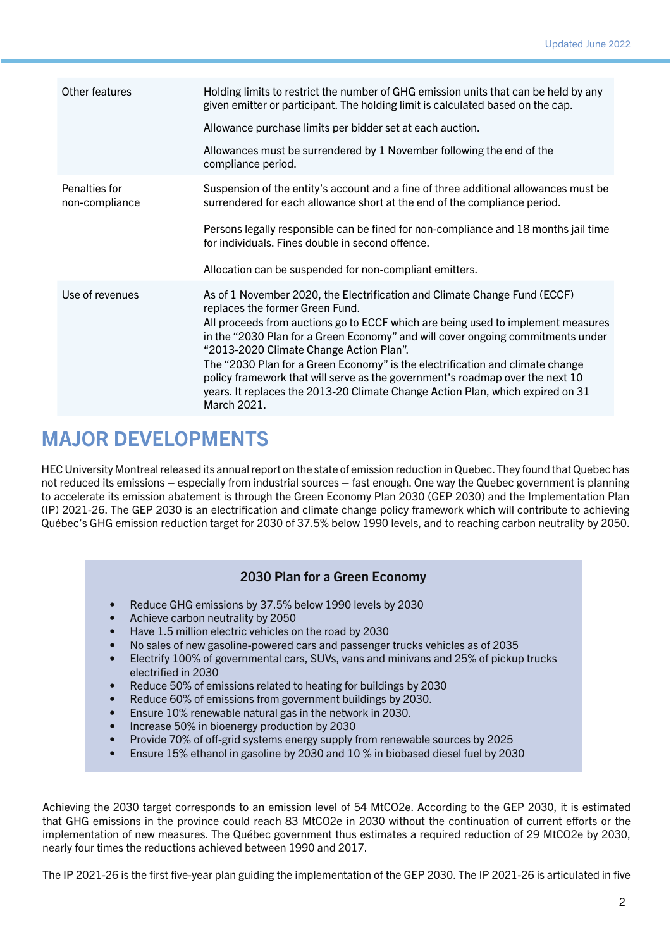| Other features                  | Holding limits to restrict the number of GHG emission units that can be held by any<br>given emitter or participant. The holding limit is calculated based on the cap.                                                                                          |
|---------------------------------|-----------------------------------------------------------------------------------------------------------------------------------------------------------------------------------------------------------------------------------------------------------------|
|                                 | Allowance purchase limits per bidder set at each auction.                                                                                                                                                                                                       |
|                                 | Allowances must be surrendered by 1 November following the end of the<br>compliance period.                                                                                                                                                                     |
| Penalties for<br>non-compliance | Suspension of the entity's account and a fine of three additional allowances must be<br>surrendered for each allowance short at the end of the compliance period.                                                                                               |
|                                 | Persons legally responsible can be fined for non-compliance and 18 months jail time<br>for individuals. Fines double in second offence.                                                                                                                         |
|                                 | Allocation can be suspended for non-compliant emitters.                                                                                                                                                                                                         |
| Use of revenues                 | As of 1 November 2020, the Electrification and Climate Change Fund (ECCF)<br>replaces the former Green Fund.                                                                                                                                                    |
|                                 | All proceeds from auctions go to ECCF which are being used to implement measures<br>in the "2030 Plan for a Green Economy" and will cover ongoing commitments under<br>"2013-2020 Climate Change Action Plan".                                                  |
|                                 | The "2030 Plan for a Green Economy" is the electrification and climate change<br>policy framework that will serve as the government's roadmap over the next 10<br>years. It replaces the 2013-20 Climate Change Action Plan, which expired on 31<br>March 2021. |

#### MAJOR DEVELOPMENTS

HEC University Montreal released its annual report on the state of emission reduction in Quebec. They found that Quebec has not reduced its emissions – especially from industrial sources – fast enough. One way the Quebec government is planning to accelerate its emission abatement is through the Green Economy Plan 2030 (GEP 2030) and the Implementation Plan (IP) 2021-26. The GEP 2030 is an electrification and climate change policy framework which will contribute to achieving Québec's GHG emission reduction target for 2030 of 37.5% below 1990 levels, and to reaching carbon neutrality by 2050.

#### 2030 Plan for a Green Economy

- Reduce GHG emissions by 37.5% below 1990 levels by 2030
- Achieve carbon neutrality by 2050
- Have 1.5 million electric vehicles on the road by 2030
- No sales of new gasoline-powered cars and passenger trucks vehicles as of 2035
- Electrify 100% of governmental cars, SUVs, vans and minivans and 25% of pickup trucks electrified in 2030
- Reduce 50% of emissions related to heating for buildings by 2030
- Reduce 60% of emissions from government buildings by 2030.
- Ensure 10% renewable natural gas in the network in 2030.
- Increase 50% in bioenergy production by 2030
- Provide 70% of off-grid systems energy supply from renewable sources by 2025
- Ensure 15% ethanol in gasoline by 2030 and 10 % in biobased diesel fuel by 2030

Achieving the 2030 target corresponds to an emission level of 54 MtCO2e. According to the GEP 2030, it is estimated that GHG emissions in the province could reach 83 MtCO2e in 2030 without the continuation of current efforts or the implementation of new measures. The Québec government thus estimates a required reduction of 29 MtCO2e by 2030, nearly four times the reductions achieved between 1990 and 2017.

The IP 2021-26 is the first five-year plan guiding the implementation of the GEP 2030. The IP 2021-26 is articulated in five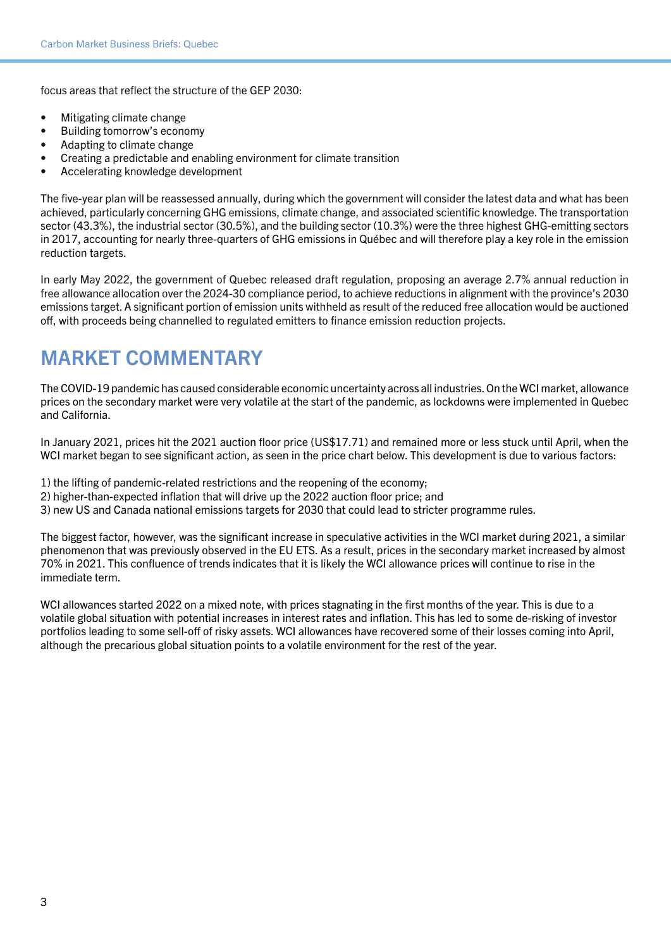focus areas that reflect the structure of the GEP 2030:

- Mitigating climate change
- Building tomorrow's economy
- Adapting to climate change
- Creating a predictable and enabling environment for climate transition
- Accelerating knowledge development

The five-year plan will be reassessed annually, during which the government will consider the latest data and what has been achieved, particularly concerning GHG emissions, climate change, and associated scientific knowledge. The transportation sector (43.3%), the industrial sector (30.5%), and the building sector (10.3%) were the three highest GHG-emitting sectors in 2017, accounting for nearly three-quarters of GHG emissions in Québec and will therefore play a key role in the emission reduction targets.

In early May 2022, the government of Quebec released draft regulation, proposing an average 2.7% annual reduction in free allowance allocation over the 2024-30 compliance period, to achieve reductions in alignment with the province's 2030 emissions target. A significant portion of emission units withheld as result of the reduced free allocation would be auctioned off, with proceeds being channelled to regulated emitters to finance emission reduction projects.

# MARKET COMMENTARY

The COVID-19 pandemic has caused considerable economic uncertainty across all industries. On the WCI market, allowance prices on the secondary market were very volatile at the start of the pandemic, as lockdowns were implemented in Quebec and California.

In January 2021, prices hit the 2021 auction floor price (US\$17.71) and remained more or less stuck until April, when the WCI market began to see significant action, as seen in the price chart below. This development is due to various factors:

- 1) the lifting of pandemic-related restrictions and the reopening of the economy;
- 2) higher-than-expected inflation that will drive up the 2022 auction floor price; and
- 3) new US and Canada national emissions targets for 2030 that could lead to stricter programme rules.

The biggest factor, however, was the significant increase in speculative activities in the WCI market during 2021, a similar phenomenon that was previously observed in the EU ETS. As a result, prices in the secondary market increased by almost 70% in 2021. This confluence of trends indicates that it is likely the WCI allowance prices will continue to rise in the immediate term.

WCI allowances started 2022 on a mixed note, with prices stagnating in the first months of the year. This is due to a volatile global situation with potential increases in interest rates and inflation. This has led to some de-risking of investor portfolios leading to some sell-off of risky assets. WCI allowances have recovered some of their losses coming into April, although the precarious global situation points to a volatile environment for the rest of the year.